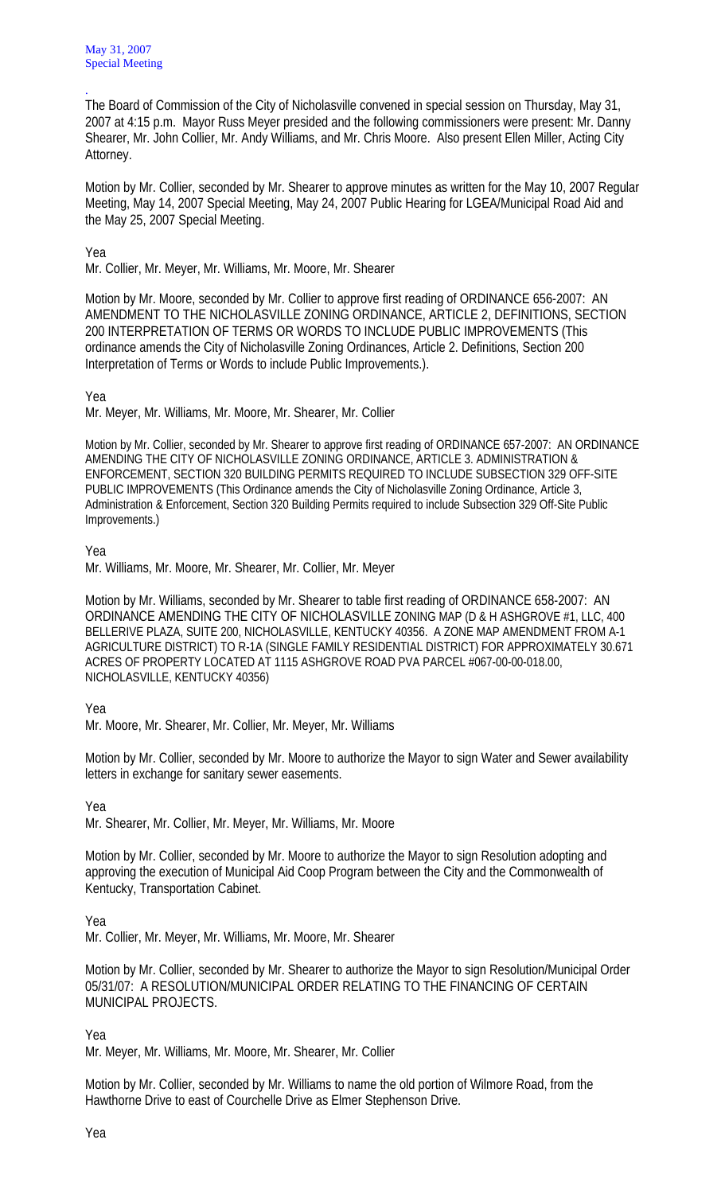The Board of Commission of the City of Nicholasville convened in special session on Thursday, May 31, 2007 at 4:15 p.m. Mayor Russ Meyer presided and the following commissioners were present: Mr. Danny Shearer, Mr. John Collier, Mr. Andy Williams, and Mr. Chris Moore. Also present Ellen Miller, Acting City Attorney.

Motion by Mr. Collier, seconded by Mr. Shearer to approve minutes as written for the May 10, 2007 Regular Meeting, May 14, 2007 Special Meeting, May 24, 2007 Public Hearing for LGEA/Municipal Road Aid and the May 25, 2007 Special Meeting.

Yea

.

Mr. Collier, Mr. Meyer, Mr. Williams, Mr. Moore, Mr. Shearer

Motion by Mr. Moore, seconded by Mr. Collier to approve first reading of ORDINANCE 656-2007: AN AMENDMENT TO THE NICHOLASVILLE ZONING ORDINANCE, ARTICLE 2, DEFINITIONS, SECTION 200 INTERPRETATION OF TERMS OR WORDS TO INCLUDE PUBLIC IMPROVEMENTS (This ordinance amends the City of Nicholasville Zoning Ordinances, Article 2. Definitions, Section 200 Interpretation of Terms or Words to include Public Improvements.).

Yea

Mr. Meyer, Mr. Williams, Mr. Moore, Mr. Shearer, Mr. Collier

Motion by Mr. Collier, seconded by Mr. Shearer to approve first reading of ORDINANCE 657-2007: AN ORDINANCE AMENDING THE CITY OF NICHOLASVILLE ZONING ORDINANCE, ARTICLE 3. ADMINISTRATION & ENFORCEMENT, SECTION 320 BUILDING PERMITS REQUIRED TO INCLUDE SUBSECTION 329 OFF-SITE PUBLIC IMPROVEMENTS (This Ordinance amends the City of Nicholasville Zoning Ordinance, Article 3, Administration & Enforcement, Section 320 Building Permits required to include Subsection 329 Off-Site Public Improvements.)

Yea

Mr. Williams, Mr. Moore, Mr. Shearer, Mr. Collier, Mr. Meyer

Motion by Mr. Williams, seconded by Mr. Shearer to table first reading of ORDINANCE 658-2007: AN ORDINANCE AMENDING THE CITY OF NICHOLASVILLE ZONING MAP (D & H ASHGROVE #1, LLC, 400 BELLERIVE PLAZA, SUITE 200, NICHOLASVILLE, KENTUCKY 40356. A ZONE MAP AMENDMENT FROM A-1 AGRICULTURE DISTRICT) TO R-1A (SINGLE FAMILY RESIDENTIAL DISTRICT) FOR APPROXIMATELY 30.671 ACRES OF PROPERTY LOCATED AT 1115 ASHGROVE ROAD PVA PARCEL #067-00-00-018.00, NICHOLASVILLE, KENTUCKY 40356)

Yea

Mr. Moore, Mr. Shearer, Mr. Collier, Mr. Meyer, Mr. Williams

Motion by Mr. Collier, seconded by Mr. Moore to authorize the Mayor to sign Water and Sewer availability letters in exchange for sanitary sewer easements.

Yea

Mr. Shearer, Mr. Collier, Mr. Meyer, Mr. Williams, Mr. Moore

Motion by Mr. Collier, seconded by Mr. Moore to authorize the Mayor to sign Resolution adopting and approving the execution of Municipal Aid Coop Program between the City and the Commonwealth of Kentucky, Transportation Cabinet.

Yea

Mr. Collier, Mr. Meyer, Mr. Williams, Mr. Moore, Mr. Shearer

Motion by Mr. Collier, seconded by Mr. Shearer to authorize the Mayor to sign Resolution/Municipal Order 05/31/07: A RESOLUTION/MUNICIPAL ORDER RELATING TO THE FINANCING OF CERTAIN MUNICIPAL PROJECTS.

Yea

Mr. Meyer, Mr. Williams, Mr. Moore, Mr. Shearer, Mr. Collier

Motion by Mr. Collier, seconded by Mr. Williams to name the old portion of Wilmore Road, from the Hawthorne Drive to east of Courchelle Drive as Elmer Stephenson Drive.